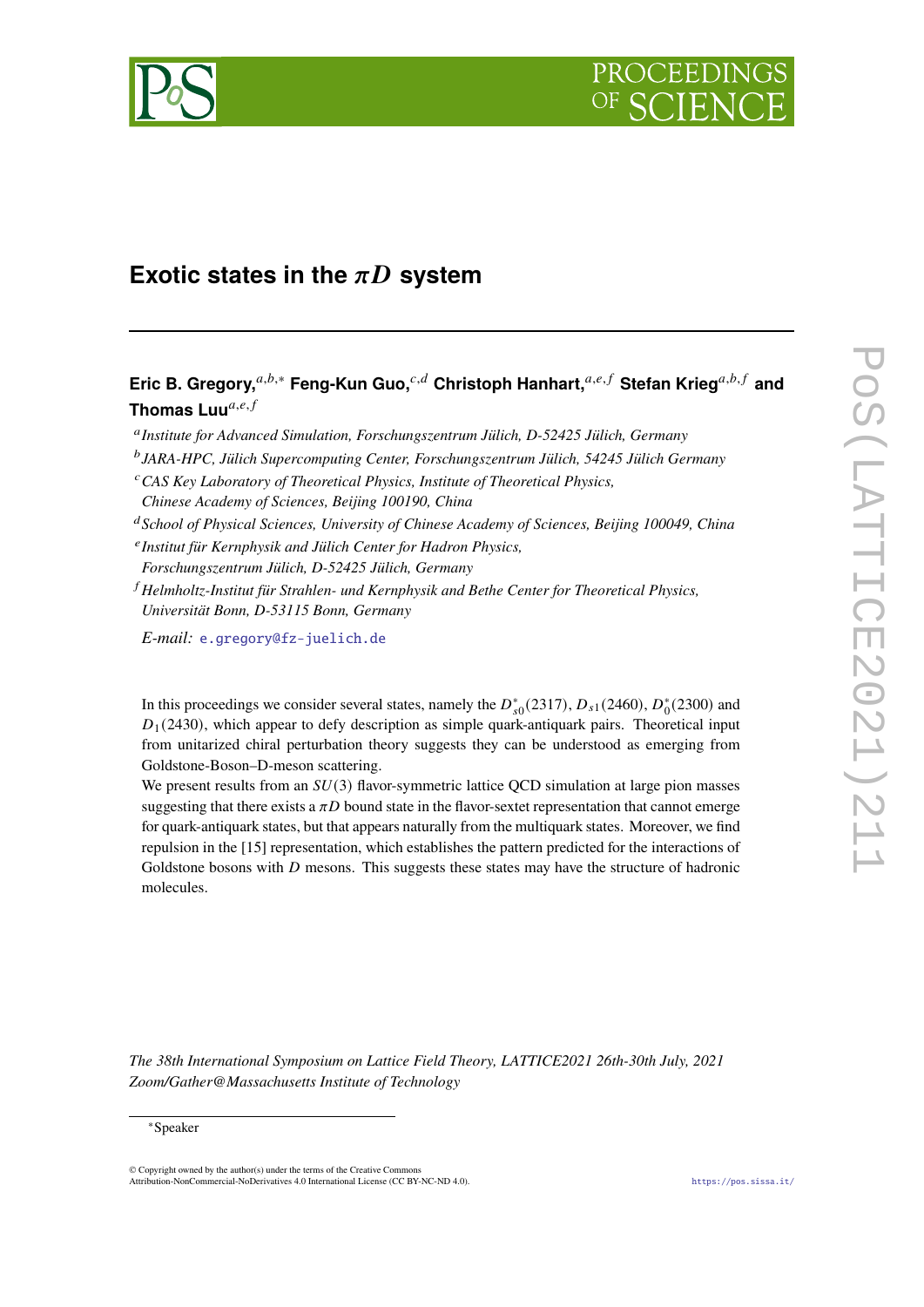

# **Exotic states in the**  $\pi D$  **system**

**Eric B. Gregory,**<sup>a,b,∗</sup> **Feng-Kun Guo,**<sup>c,d</sup> Christoph Hanhart,<sup>a,e,f</sup> Stefan Krieg<sup>a,b,f</sup> and **Thomas Luu**<sup>a,e,f</sup>

*Institute for Advanced Simulation, Forschungszentrum Jülich, D-52425 Jülich, Germany*

*JARA-HPC, Jülich Supercomputing Center, Forschungszentrum Jülich, 54245 Jülich Germany*

*CAS Key Laboratory of Theoretical Physics, Institute of Theoretical Physics,*

*School of Physical Sciences, University of Chinese Academy of Sciences, Beijing 100049, China*

*Institut für Kernphysik and Jülich Center for Hadron Physics,*

*Forschungszentrum Jülich, D-52425 Jülich, Germany*

 *Helmholtz-Institut für Strahlen- und Kernphysik and Bethe Center for Theoretical Physics, Universität Bonn, D-53115 Bonn, Germany*

*E-mail:* [e.gregory@fz-juelich.de](mailto:e.gregory@fz-juelich.de)

In this proceedings we consider several states, namely the  $D_{s0}^*(2317)$ ,  $D_{s1}(2460)$ ,  $D_0^*(2300)$  and  $D_1(2430)$ , which appear to defy description as simple quark-antiquark pairs. Theoretical input from unitarized chiral perturbation theory suggests they can be understood as emerging from Goldstone-Boson–D-meson scattering.

We present results from an  $SU(3)$  flavor-symmetric lattice QCD simulation at large pion masses suggesting that there exists a  $\pi D$  bound state in the flavor-sextet representation that cannot emerge for quark-antiquark states, but that appears naturally from the multiquark states. Moreover, we find repulsion in the [15] representation, which establishes the pattern predicted for the interactions of Goldstone bosons with  $D$  mesons. This suggests these states may have the structure of hadronic molecules.

*The 38th International Symposium on Lattice Field Theory, LATTICE2021 26th-30th July, 2021 Zoom/Gather@Massachusetts Institute of Technology*

### <sup>∗</sup>Speaker

© Copyright owned by the author(s) under the terms of the Creative Commons Attribution-NonCommercial-NoDerivatives 4.0 International License (CC BY-NC-ND 4.0). <https://pos.sissa.it/>

*Chinese Academy of Sciences, Beijing 100190, China*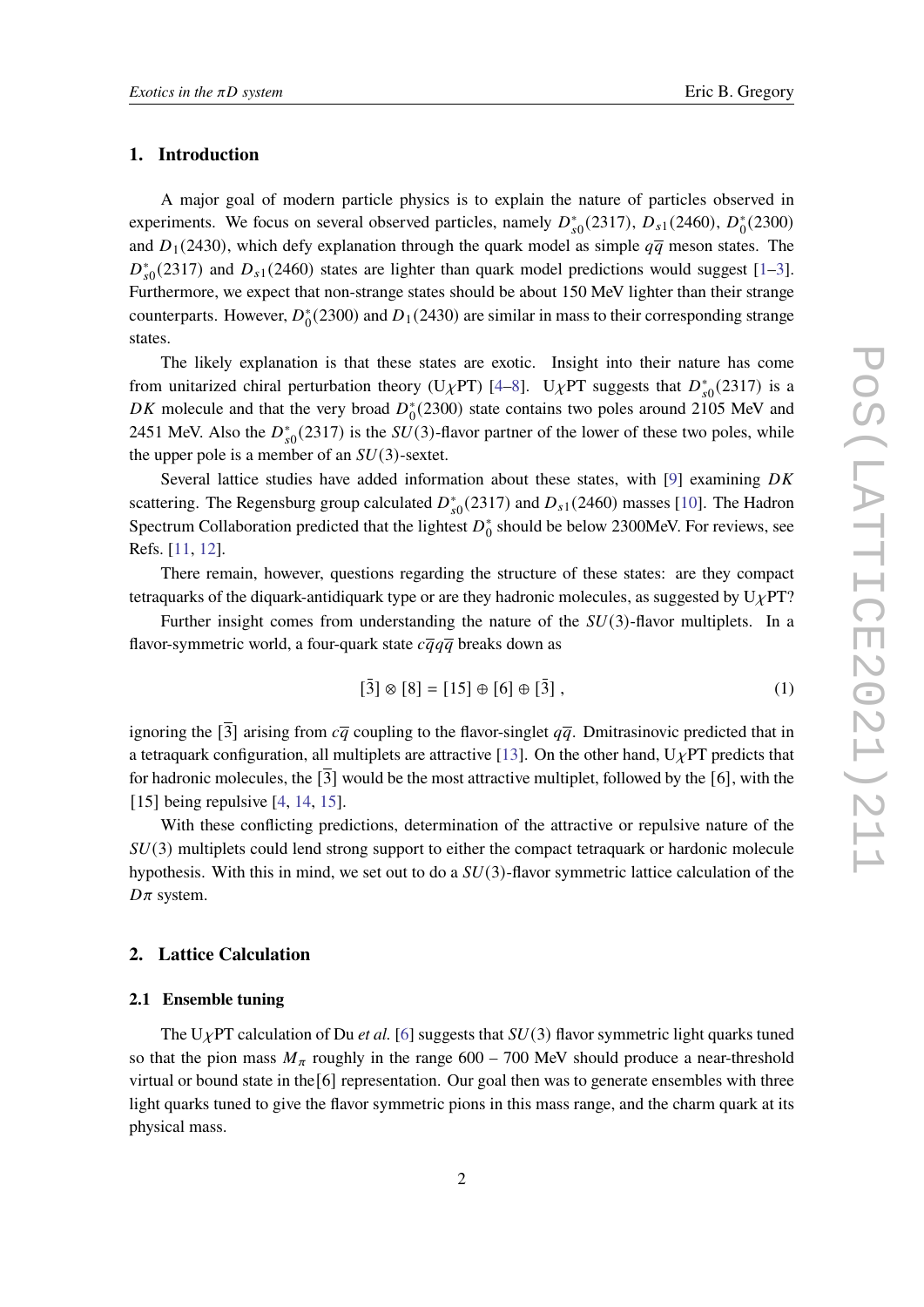## **1. Introduction**

A major goal of modern particle physics is to explain the nature of particles observed in experiments. We focus on several observed particles, namely  $D_{s0}^*(2317)$ ,  $D_{s1}(2460)$ ,  $D_0^*$  $_{0}^{*}(2300)$ and  $D_1(2430)$ , which defy explanation through the quark model as simple  $q\bar{q}$  meson states. The  $D_{s0}^{*}(2317)$  and  $D_{s1}(2460)$  states are lighter than quark model predictions would suggest [\[1–](#page-7-0)[3\]](#page-8-0). Furthermore, we expect that non-strange states should be about 150 MeV lighter than their strange counterparts. However,  $D_0^*$  $^{*}_{0}$ (2300) and  $D_1$ (2430) are similar in mass to their corresponding strange states.

The likely explanation is that these states are exotic. Insight into their nature has come from unitarized chiral perturbation theory (U<sub>X</sub>PT) [\[4](#page-8-1)[–8\]](#page-8-2). U<sub>X</sub>PT suggests that  $D_{s0}^{*}(2317)$  is a DK molecule and that the very broad  $D_0^*$  $_{0}^{*}(2300)$  state contains two poles around 2105 MeV and 2451 MeV. Also the  $D_{s0}^*(2317)$  is the  $SU(3)$ -flavor partner of the lower of these two poles, while the upper pole is a member of an  $SU(3)$ -sextet.

Several lattice studies have added information about these states, with [\[9\]](#page-8-3) examining  $DK$ scattering. The Regensburg group calculated  $D_{s0}^*(2317)$  and  $D_{s1}(2460)$  masses [\[10\]](#page-8-4). The Hadron Spectrum Collaboration predicted that the lightest  $D_0^*$  $_0^*$  should be below 2300MeV. For reviews, see Refs. [\[11,](#page-8-5) [12\]](#page-8-6).

There remain, however, questions regarding the structure of these states: are they compact tetraquarks of the diquark-antidiquark type or are they hadronic molecules, as suggested by  $U_{\chi}PT$ ?

Further insight comes from understanding the nature of the  $SU(3)$ -flavor multiplets. In a flavor-symmetric world, a four-quark state  $c\overline{q}q\overline{q}$  breaks down as

$$
[\bar{3}] \otimes [8] = [15] \oplus [6] \oplus [\bar{3}], \qquad (1)
$$

ignoring the  $\overline{3}$  arising from  $c\overline{q}$  coupling to the flavor-singlet  $q\overline{q}$ . Dmitrasinovic predicted that in a tetraquark configuration, all multiplets are attractive [\[13\]](#page-8-7). On the other hand,  $U_{\chi}PT$  predicts that for hadronic molecules, the  $\lceil 3 \rceil$  would be the most attractive multiplet, followed by the  $\lceil 6 \rceil$ , with the [15] being repulsive [\[4,](#page-8-1) [14,](#page-8-8) [15\]](#page-8-9).

With these conflicting predictions, determination of the attractive or repulsive nature of the  $SU(3)$  multiplets could lend strong support to either the compact tetraquark or hardonic molecule hypothesis. With this in mind, we set out to do a  $SU(3)$ -flavor symmetric lattice calculation of the  $D\pi$  system.

#### **2. Lattice Calculation**

#### **2.1 Ensemble tuning**

The U<sub>X</sub>PT calculation of Du *et al.* [\[6\]](#page-8-10) suggests that  $SU(3)$  flavor symmetric light quarks tuned so that the pion mass  $M_{\pi}$  roughly in the range 600 – 700 MeV should produce a near-threshold virtual or bound state in the[6] representation. Our goal then was to generate ensembles with three light quarks tuned to give the flavor symmetric pions in this mass range, and the charm quark at its physical mass.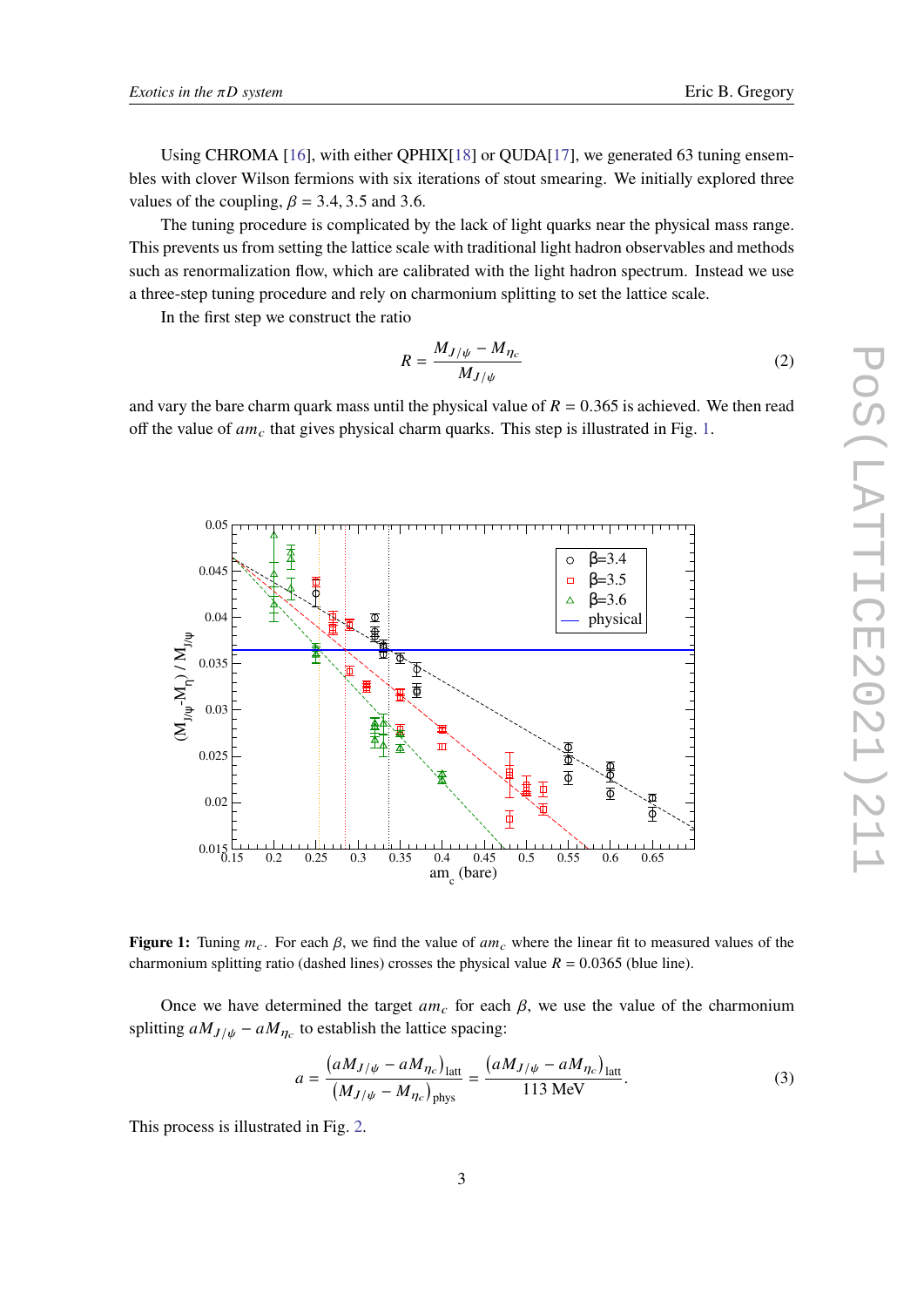Using CHROMA [\[16\]](#page-8-11), with either QPHIX[\[18\]](#page-8-12) or QUDA[\[17\]](#page-8-13), we generated 63 tuning ensembles with clover Wilson fermions with six iterations of stout smearing. We initially explored three values of the coupling,  $\beta = 3.4, 3.5$  and 3.6.

The tuning procedure is complicated by the lack of light quarks near the physical mass range. This prevents us from setting the lattice scale with traditional light hadron observables and methods such as renormalization flow, which are calibrated with the light hadron spectrum. Instead we use a three-step tuning procedure and rely on charmonium splitting to set the lattice scale.

In the first step we construct the ratio

$$
R = \frac{M_{J/\psi} - M_{\eta_c}}{M_{J/\psi}}\tag{2}
$$

<span id="page-2-0"></span>and vary the bare charm quark mass until the physical value of  $R = 0.365$  is achieved. We then read off the value of  $am_c$  that gives physical charm quarks. This step is illustrated in Fig. [1.](#page-2-0)



**Figure 1:** Tuning  $m_c$ . For each  $\beta$ , we find the value of  $am_c$  where the linear fit to measured values of the charmonium splitting ratio (dashed lines) crosses the physical value  $R = 0.0365$  (blue line).

Once we have determined the target  $am_c$  for each  $\beta$ , we use the value of the charmonium splitting  $aM_{J/\psi} - aM_{\eta_c}$  to establish the lattice spacing:

$$
a = \frac{(aM_{J/\psi} - aM_{\eta_c})_{\text{latt}}}{(M_{J/\psi} - M_{\eta_c})_{\text{phys}}} = \frac{(aM_{J/\psi} - aM_{\eta_c})_{\text{latt}}}{113 \text{ MeV}}.
$$
 (3)

This process is illustrated in Fig. [2.](#page-3-0)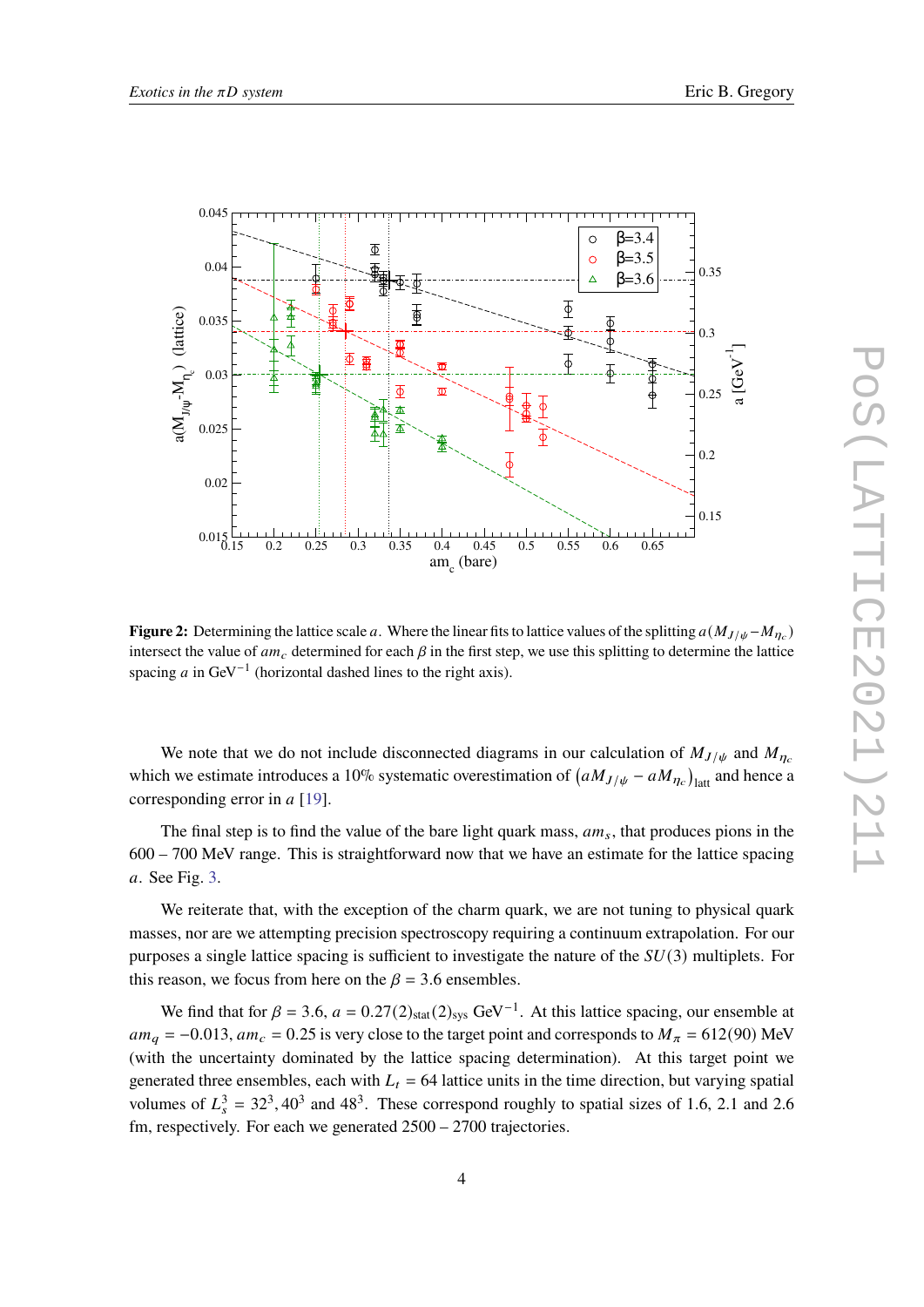<span id="page-3-0"></span>

**Figure 2:** Determining the lattice scale a. Where the linear fits to lattice values of the splitting  $a(M_{J/\psi} - M_{\eta_c})$ intersect the value of  $am_c$  determined for each  $\beta$  in the first step, we use this splitting to determine the lattice spacing  $a$  in GeV<sup>-1</sup> (horizontal dashed lines to the right axis).

We note that we do not include disconnected diagrams in our calculation of  $M_{J/\psi}$  and  $M_{\eta_c}$ which we estimate introduces a 10% systematic overestimation of  $(aM_{J/\psi} - aM_{\eta_c})_{\text{latt}}$  and hence a corresponding error in  $a$  [\[19\]](#page-8-14).

The final step is to find the value of the bare light quark mass,  $am_s$ , that produces pions in the 600 – 700 MeV range. This is straightforward now that we have an estimate for the lattice spacing . See Fig. [3.](#page-4-0)

We reiterate that, with the exception of the charm quark, we are not tuning to physical quark masses, nor are we attempting precision spectroscopy requiring a continuum extrapolation. For our purposes a single lattice spacing is sufficient to investigate the nature of the  $SU(3)$  multiplets. For this reason, we focus from here on the  $\beta = 3.6$  ensembles.

We find that for  $\beta = 3.6$ ,  $a = 0.27(2)_{stat}(2)_{sys}$  GeV<sup>-1</sup>. At this lattice spacing, our ensemble at  $am_q = -0.013$ ,  $am_c = 0.25$  is very close to the target point and corresponds to  $M_\pi = 612(90)$  MeV (with the uncertainty dominated by the lattice spacing determination). At this target point we generated three ensembles, each with  $L_t = 64$  lattice units in the time direction, but varying spatial volumes of  $L_s^3 = 32^3$ , 40<sup>3</sup> and 48<sup>3</sup>. These correspond roughly to spatial sizes of 1.6, 2.1 and 2.6 fm, respectively. For each we generated 2500 – 2700 trajectories.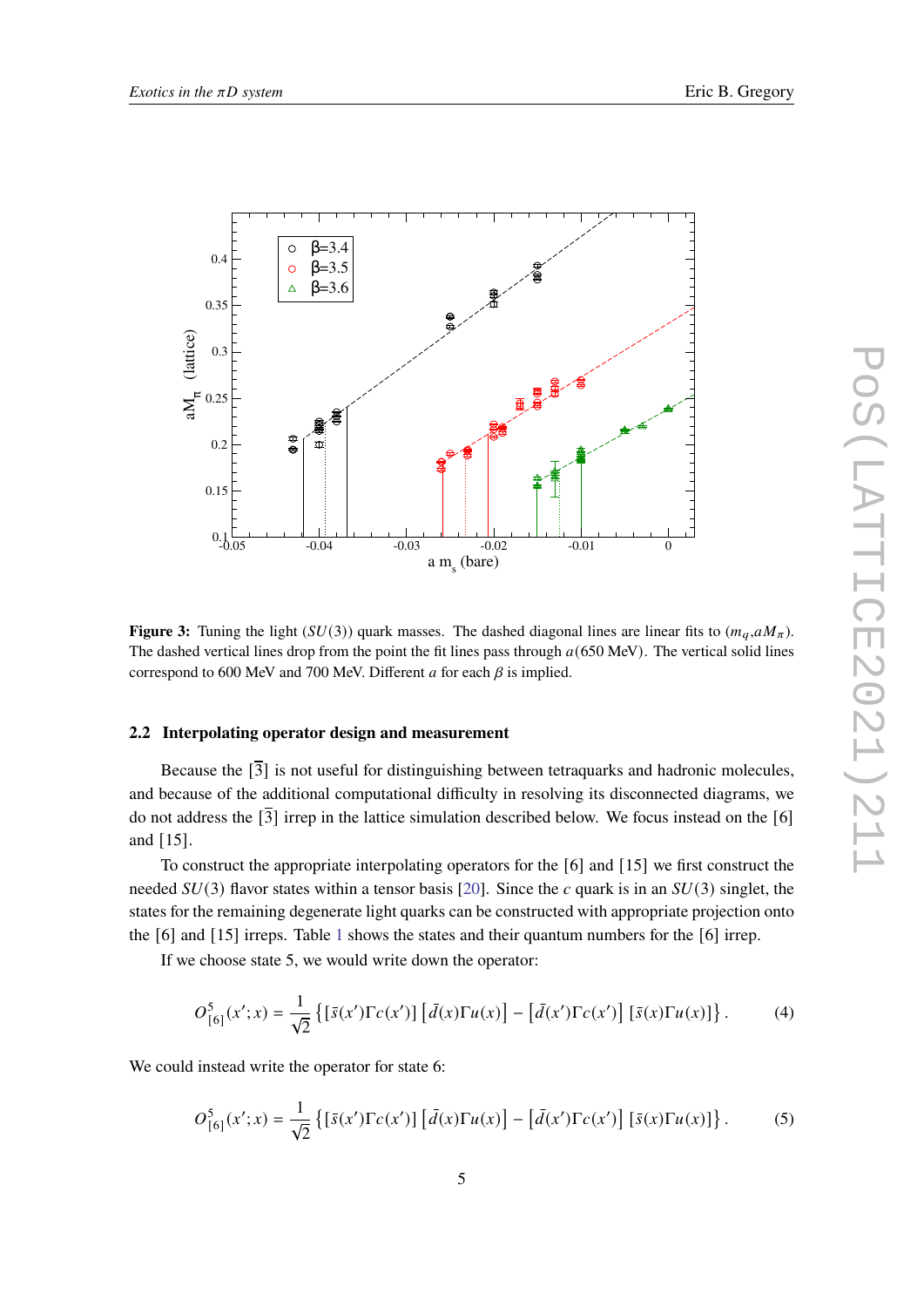<span id="page-4-0"></span>

**Figure 3:** Tuning the light ( $SU(3)$ ) quark masses. The dashed diagonal lines are linear fits to  $(m_q, aM_\pi)$ . The dashed vertical lines drop from the point the fit lines pass through  $a(650 \text{ MeV})$ . The vertical solid lines correspond to 600 MeV and 700 MeV. Different  $a$  for each  $\beta$  is implied.

### **2.2 Interpolating operator design and measurement**

Because the  $\lceil \overline{3} \rceil$  is not useful for distinguishing between tetraquarks and hadronic molecules, and because of the additional computational difficulty in resolving its disconnected diagrams, we do not address the  $\overline{3}$  irrep in the lattice simulation described below. We focus instead on the [6] and [15].

To construct the appropriate interpolating operators for the [6] and [15] we first construct the needed  $SU(3)$  flavor states within a tensor basis [\[20\]](#page-8-15). Since the c quark is in an  $SU(3)$  singlet, the states for the remaining degenerate light quarks can be constructed with appropriate projection onto the [6] and [15] irreps. Table [1](#page-5-0) shows the states and their quantum numbers for the [6] irrep.

If we choose state 5, we would write down the operator:

$$
O_{[6]}^{5}(x';x) = \frac{1}{\sqrt{2}} \left\{ \left[ \bar{s}(x') \Gamma c(x') \right] \left[ \bar{d}(x) \Gamma u(x) \right] - \left[ \bar{d}(x') \Gamma c(x') \right] \left[ \bar{s}(x) \Gamma u(x) \right] \right\}.
$$
 (4)

We could instead write the operator for state 6:

$$
O_{[6]}^{5}(x';x) = \frac{1}{\sqrt{2}} \left\{ \left[ \bar{s}(x') \Gamma c(x') \right] \left[ \bar{d}(x) \Gamma u(x) \right] - \left[ \bar{d}(x') \Gamma c(x') \right] \left[ \bar{s}(x) \Gamma u(x) \right] \right\}.
$$
 (5)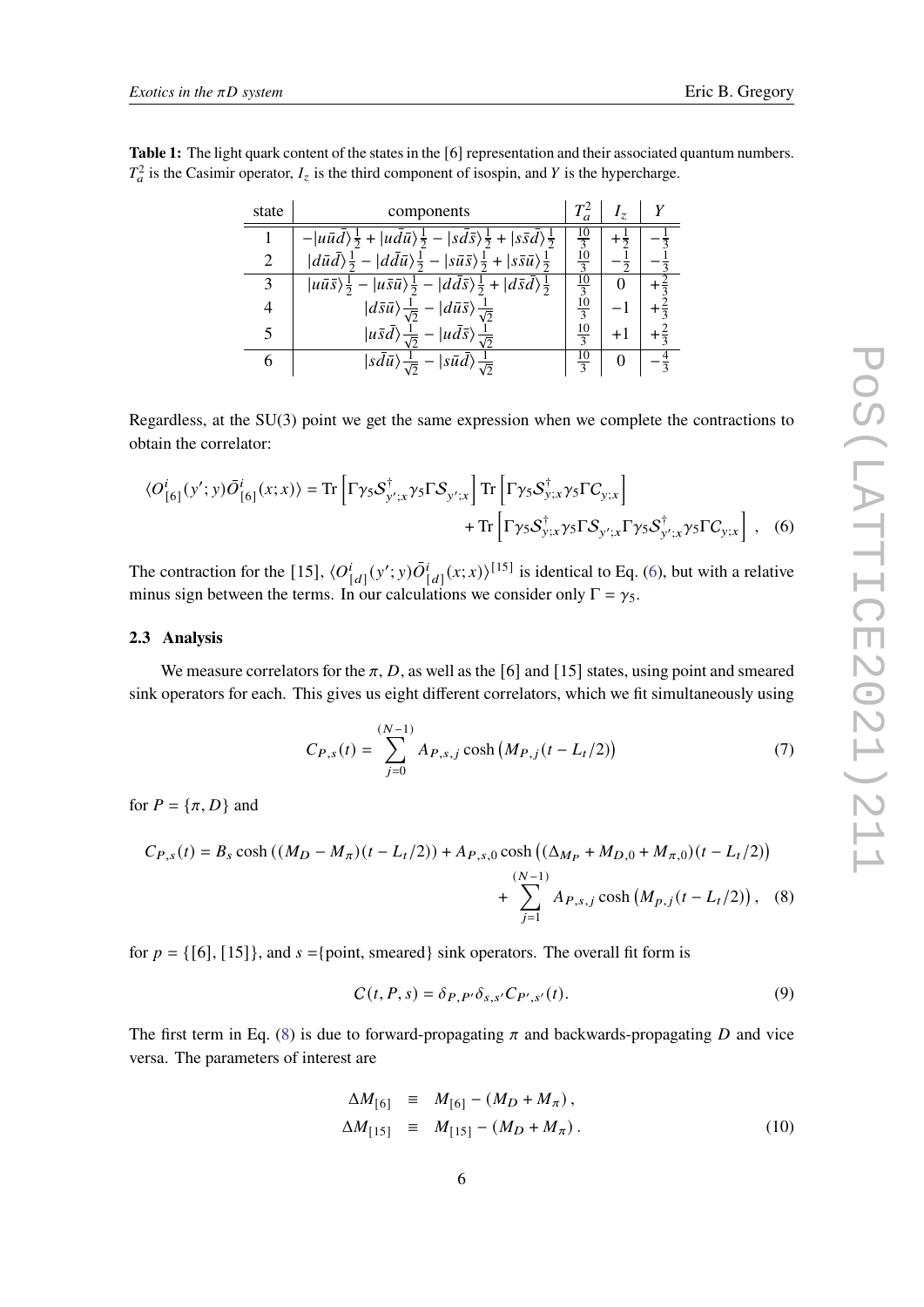<span id="page-5-0"></span>

| <b>Table 1:</b> The light quark content of the states in the [6] representation and their associated quantum numbers. |  |
|-----------------------------------------------------------------------------------------------------------------------|--|
| $T_a^2$ is the Casimir operator, $I_z$ is the third component of isospin, and Y is the hypercharge.                   |  |

| state | components                                                                                                                                          |                | $\overline{z}$ |                |
|-------|-----------------------------------------------------------------------------------------------------------------------------------------------------|----------------|----------------|----------------|
|       | $- u\bar{u}\bar{d}\rangle\frac{1}{2}+ u\bar{d}\bar{u}\rangle\frac{1}{2}- s\bar{d}\bar{s}\rangle\frac{1}{2}+ s\bar{s}\bar{d}\rangle\frac{1}{2}$      | $\frac{10}{3}$ | $+\tilde{z}$   |                |
| 2     | $ d\bar{u}\bar{d}\rangle\frac{1}{2} -  d\bar{d}\bar{u}\rangle\frac{1}{2} -  s\bar{u}\bar{s}\rangle\frac{1}{2} +  s\bar{s}\bar{u}\rangle\frac{1}{2}$ | $rac{10}{3}$   |                |                |
| 3     | $ u\bar{u}\bar{s}\rangle\frac{1}{2}- u\bar{s}\bar{u}\rangle\frac{1}{2}- d\bar{d}\bar{s}\rangle\frac{1}{2}+ d\bar{s}\bar{d}\rangle\frac{1}{2}$       | $rac{10}{3}$   |                |                |
| 4     | $\langle d\bar{s}\bar{u}\rangle\frac{1}{\sqrt{2}} - \langle d\bar{u}\bar{s}\rangle\frac{1}{\sqrt{2}}$                                               | $\frac{10}{3}$ |                | $+\frac{2}{2}$ |
| 5     | $ u\bar{s}\bar{d}\rangle \frac{1}{\sqrt{2}} -  u\bar{d}\bar{s}\rangle \frac{1}{\sqrt{2}}$                                                           | $\frac{10}{3}$ | $+1$           | $+\frac{2}{3}$ |
|       | $ sd\bar{u}\rangle \frac{1}{\sqrt{2}} -  s\bar{u}\bar{d}\rangle \frac{1}{\sqrt{2}}$                                                                 |                |                |                |

Regardless, at the SU(3) point we get the same expression when we complete the contractions to obtain the correlator:

$$
\langle O_{[6]}^i(y';y)\overline{O}_{[6]}^i(x;x)\rangle = \text{Tr}\left[\Gamma\gamma_5\mathcal{S}_{y';x}^\dagger\gamma_5\Gamma\mathcal{S}_{y';x}\right]\text{Tr}\left[\Gamma\gamma_5\mathcal{S}_{y;x}^\dagger\gamma_5\Gamma\mathcal{C}_{y;x}\right] + \text{Tr}\left[\Gamma\gamma_5\mathcal{S}_{y;x}^\dagger\gamma_5\Gamma\mathcal{S}_{y';x}\Gamma\gamma_5\mathcal{S}_{y';x}^\dagger\gamma_5\Gamma\mathcal{C}_{y;x}\right],\tag{6}
$$

The contraction for the [15],  $\langle O_1^i$  $\int_{[d]}^{i} (y';y) \overline{O}_{[d]}^{i}(x;x) \rangle^{[15]}$  is identical to Eq. [\(6\)](#page-5-1), but with a relative minus sign between the terms. In our calculations we consider only  $\Gamma = \gamma_5$ .

## **2.3 Analysis**

We measure correlators for the  $\pi$ , D, as well as the [6] and [15] states, using point and smeared sink operators for each. This gives us eight different correlators, which we fit simultaneously using

<span id="page-5-1"></span>
$$
C_{P,s}(t) = \sum_{j=0}^{(N-1)} A_{P,s,j} \cosh\left(M_{P,j}(t - L_t/2)\right)
$$
 (7)

for  $P = {\pi, D}$  and

$$
C_{P,s}(t) = B_s \cosh((M_D - M_\pi)(t - L_t/2)) + A_{P,s,0} \cosh((\Delta_{M_P} + M_{D,0} + M_{\pi,0})(t - L_t/2)) + \sum_{j=1}^{(N-1)} A_{P,s,j} \cosh(M_{p,j}(t - L_t/2)), \quad (8)
$$

for  $p = \{ [6], [15] \}$ , and  $s = \{ \text{point}, \text{ smeared} \}$  sink operators. The overall fit form is

<span id="page-5-2"></span>
$$
C(t, P, s) = \delta_{P, P'} \delta_{s, s'} C_{P', s'}(t). \tag{9}
$$

The first term in Eq. [\(8\)](#page-5-2) is due to forward-propagating  $\pi$  and backwards-propagating D and vice versa. The parameters of interest are

$$
\Delta M_{[6]} \equiv M_{[6]} - (M_D + M_\pi),
$$
  
\n
$$
\Delta M_{[15]} \equiv M_{[15]} - (M_D + M_\pi).
$$
 (10)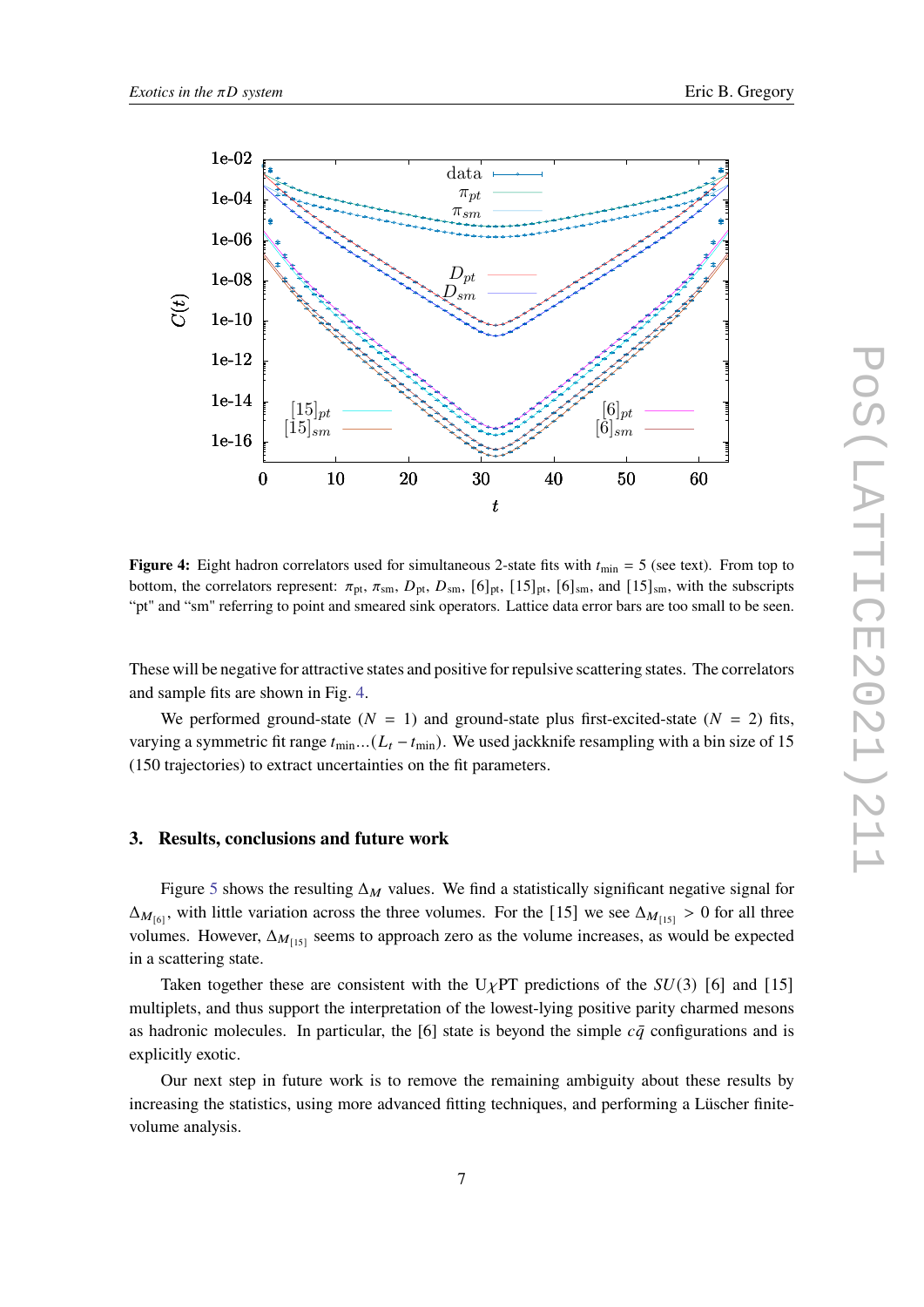<span id="page-6-0"></span>

**Figure 4:** Eight hadron correlators used for simultaneous 2-state fits with  $t_{\text{min}} = 5$  (see text). From top to bottom, the correlators represent:  $\pi_{pt}$ ,  $\pi_{sm}$ ,  $D_{pt}$ ,  $D_{sm}$ ,  $[6]_{pt}$ ,  $[15]_{pt}$ ,  $[6]_{sm}$ , and  $[15]_{sm}$ , with the subscripts "pt" and "sm" referring to point and smeared sink operators. Lattice data error bars are too small to be seen.

These will be negative for attractive states and positive for repulsive scattering states. The correlators and sample fits are shown in Fig. [4.](#page-6-0)

We performed ground-state  $(N = 1)$  and ground-state plus first-excited-state  $(N = 2)$  fits, varying a symmetric fit range  $t_{\min}$ ...( $L_t - t_{\min}$ ). We used jackknife resampling with a bin size of 15 (150 trajectories) to extract uncertainties on the fit parameters.

#### **3. Results, conclusions and future work**

Figure [5](#page-7-1) shows the resulting  $\Delta_M$  values. We find a statistically significant negative signal for  $\Delta_{M_{[6]}}$ , with little variation across the three volumes. For the [15] we see  $\Delta_{M_{[15]}} > 0$  for all three volumes. However,  $\Delta_{M_{[15]}}$  seems to approach zero as the volume increases, as would be expected in a scattering state.

Taken together these are consistent with the U<sub>Y</sub>PT predictions of the  $SU(3)$  [6] and [15] multiplets, and thus support the interpretation of the lowest-lying positive parity charmed mesons as hadronic molecules. In particular, the [6] state is beyond the simple  $c\bar{q}$  configurations and is explicitly exotic.

Our next step in future work is to remove the remaining ambiguity about these results by increasing the statistics, using more advanced fitting techniques, and performing a Lüscher finitevolume analysis.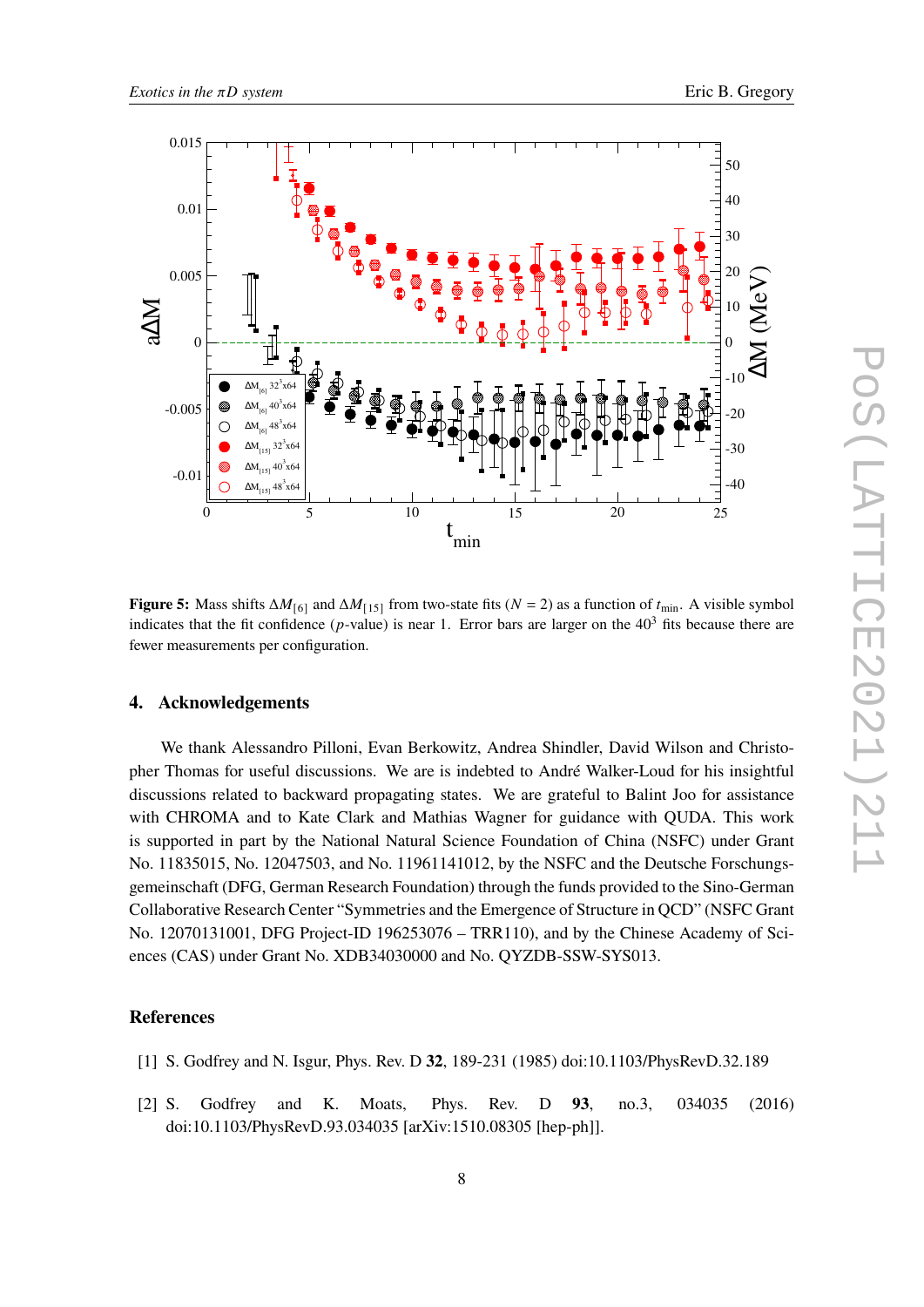<span id="page-7-1"></span>

**Figure 5:** Mass shifts  $\Delta M_{[6]}$  and  $\Delta M_{[15]}$  from two-state fits ( $N = 2$ ) as a function of  $t_{\text{min}}$ . A visible symbol indicates that the fit confidence ( $p$ -value) is near 1. Error bars are larger on the  $40<sup>3</sup>$  fits because there are fewer measurements per configuration.

# **4. Acknowledgements**

We thank Alessandro Pilloni, Evan Berkowitz, Andrea Shindler, David Wilson and Christopher Thomas for useful discussions. We are is indebted to André Walker-Loud for his insightful discussions related to backward propagating states. We are grateful to Balint Joo for assistance with CHROMA and to Kate Clark and Mathias Wagner for guidance with QUDA. This work is supported in part by the National Natural Science Foundation of China (NSFC) under Grant No. 11835015, No. 12047503, and No. 11961141012, by the NSFC and the Deutsche Forschungsgemeinschaft (DFG, German Research Foundation) through the funds provided to the Sino-German Collaborative Research Center "Symmetries and the Emergence of Structure in QCD" (NSFC Grant No. 12070131001, DFG Project-ID 196253076 – TRR110), and by the Chinese Academy of Sciences (CAS) under Grant No. XDB34030000 and No. QYZDB-SSW-SYS013.

## **References**

- <span id="page-7-0"></span>[1] S. Godfrey and N. Isgur, Phys. Rev. D **32**, 189-231 (1985) doi:10.1103/PhysRevD.32.189
- [2] S. Godfrey and K. Moats, Phys. Rev. D **93**, no.3, 034035 (2016) doi:10.1103/PhysRevD.93.034035 [arXiv:1510.08305 [hep-ph]].